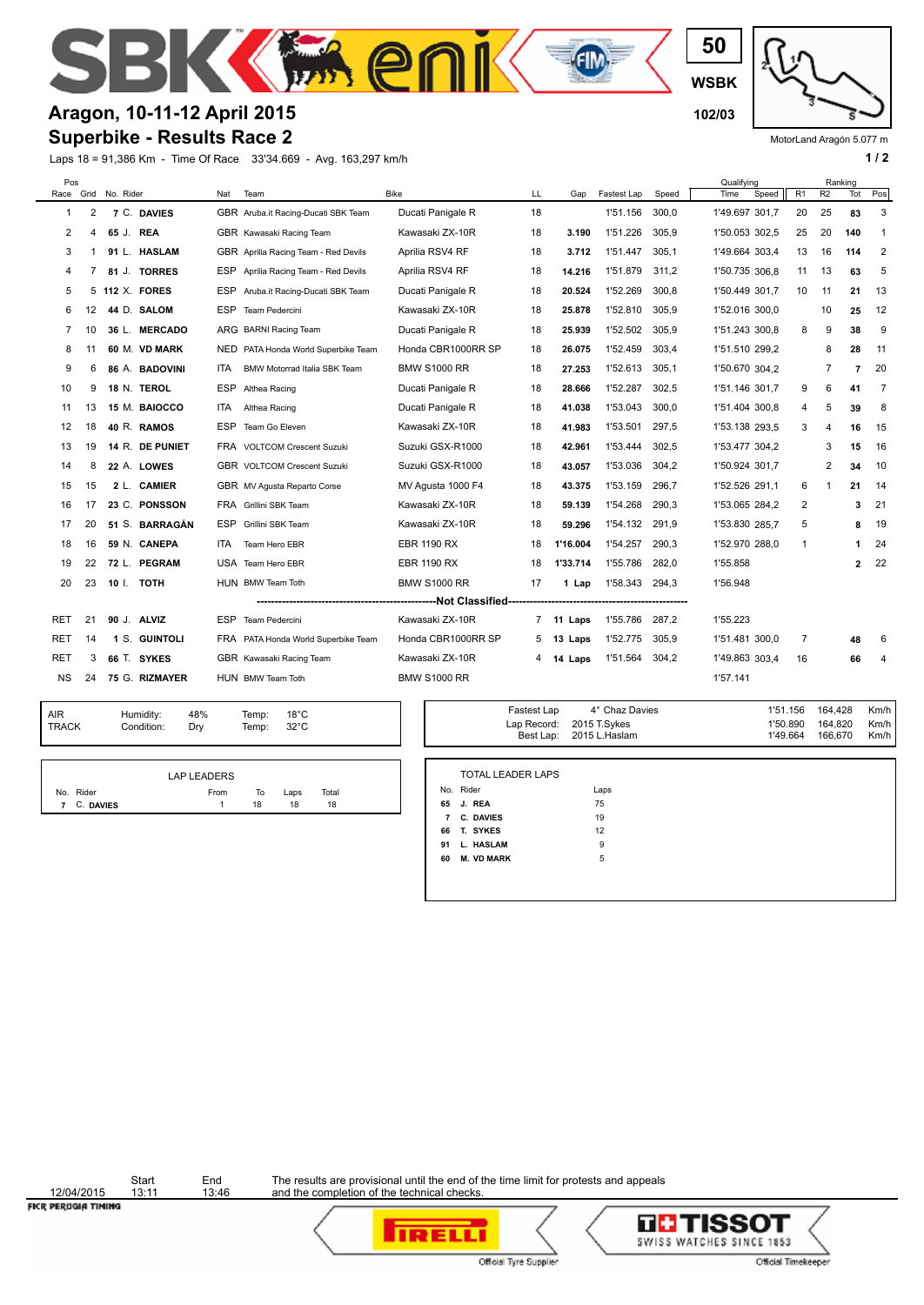

#### **Aragon, 10-11-12 April 2015 102/03**

#### **Superbike - Results Race 2**

Laps 18 = 91,386 Km - Time Of Race 33'34.669 - Avg. 163,297 km/h **1 and 2 1 and 2 1 a 1 a 1 a 1 a 1 a 1 a 1 a 1 a 1 a 1 a 1 a 1 a 1 a 1 a 1 a 1 a 1 a 1 a 1 a 1 a 1 a 1 a 1 a** 

MotorLand Aragón 5.077 m

| Pos        |     |                     |                     |            |                                      |                      |    |          |             |       | Qualifying     |    |    | Ranking |                |
|------------|-----|---------------------|---------------------|------------|--------------------------------------|----------------------|----|----------|-------------|-------|----------------|----|----|---------|----------------|
|            |     | Race Grid No. Rider |                     | Nat        | Team                                 | <b>Bike</b>          | LL | Gap      | Fastest Lap | Speed | Speed<br>Time  | R1 | R2 | Tot     | Pos            |
| 1          | 2   |                     | 7 C. DAVIES         |            | GBR Aruba.it Racing-Ducati SBK Team  | Ducati Panigale R    | 18 |          | 1'51.156    | 300.0 | 1'49.697 301,7 | 20 | 25 | 83      | 3              |
| 2          | 4   | 65 J. REA           |                     |            | GBR Kawasaki Racing Team             | Kawasaki ZX-10R      | 18 | 3.190    | 1'51.226    | 305,9 | 1'50.053 302,5 | 25 | 20 | 140     | 1              |
| 3          |     |                     | 91 L. HASLAM        |            | GBR Aprilia Racing Team - Red Devils | Aprilia RSV4 RF      | 18 | 3.712    | 1'51.447    | 305.1 | 1'49.664 303.4 | 13 | 16 | 114     | 2              |
| 4          |     |                     | 81 J. TORRES        |            | ESP Aprilia Racing Team - Red Devils | Aprilia RSV4 RF      | 18 | 14.216   | 1'51.879    | 311.2 | 1'50.735 306,8 | 11 | 13 | 63      | 5              |
| 5          | 5   |                     | <b>112 X. FORES</b> |            | ESP Aruba.it Racing-Ducati SBK Team  | Ducati Panigale R    | 18 | 20.524   | 1'52.269    | 300.8 | 1'50.449 301,7 | 10 | 11 | 21      | 13             |
| 6          | 12  |                     | 44 D. SALOM         | <b>ESP</b> | Team Pedercini                       | Kawasaki ZX-10R      | 18 | 25.878   | 1'52.810    | 305.9 | 1'52.016 300.0 |    | 10 | 25      | 12             |
| 7          | 10  |                     | 36 L. MERCADO       |            | ARG BARNI Racing Team                | Ducati Panigale R    | 18 | 25.939   | 1'52.502    | 305,9 | 1'51.243 300,8 | 8  | 9  | 38      | 9              |
| 8          | -11 |                     | 60 M. VD MARK       |            | NED PATA Honda World Superbike Team  | Honda CBR1000RR SP   | 18 | 26.075   | 1'52.459    | 303,4 | 1'51.510 299.2 |    | 8  | 28      | 11             |
| 9          | 6   |                     | 86 A. BADOVINI      | ITA        | BMW Motorrad Italia SBK Team         | <b>BMW S1000 RR</b>  | 18 | 27.253   | 1'52.613    | 305,1 | 1'50.670 304,2 |    | 7  | 7       | 20             |
| 10         | 9   |                     | 18 N. TEROL         | ESP        | Althea Racing                        | Ducati Panigale R    | 18 | 28.666   | 1'52.287    | 302,5 | 1'51.146 301,7 | 9  | 6  | 41      | - 7            |
| 11         | 13  |                     | 15 M. BAIOCCO       | <b>ITA</b> | Althea Racing                        | Ducati Panigale R    | 18 | 41.038   | 1'53.043    | 300.0 | 1'51.404 300.8 | 4  | 5  | 39      | 8              |
| 12         | 18  |                     | 40 R. RAMOS         | <b>ESP</b> | Team Go Eleven                       | Kawasaki ZX-10R      | 18 | 41.983   | 1'53.501    | 297,5 | 1'53.138 293,5 | 3  | 4  | 16      | 15             |
| 13         | 19  |                     | 14 R. DE PUNIET     |            | FRA VOLTCOM Crescent Suzuki          | Suzuki GSX-R1000     | 18 | 42.961   | 1'53.444    | 302.5 | 1'53.477 304.2 |    | 3  | 15      | 16             |
| 14         | 8   |                     | 22 A. LOWES         |            | GBR VOLTCOM Crescent Suzuki          | Suzuki GSX-R1000     | 18 | 43.057   | 1'53.036    | 304,2 | 1'50.924 301,7 |    | 2  | 34      | 10             |
| 15         | 15  |                     | 2 L. CAMIER         |            | GBR MV Agusta Reparto Corse          | MV Agusta 1000 F4    | 18 | 43.375   | 1'53.159    | 296.7 | 1'52.526 291.1 | 6  | 1  | 21      | -14            |
| 16         | 17  |                     | 23 C. PONSSON       |            | FRA Grillini SBK Team                | Kawasaki ZX-10R      | 18 | 59.139   | 1'54.268    | 290.3 | 1'53.065 284,2 | 2  |    | 3       | 21             |
| 17         | 20  |                     | 51 S. BARRAGÁN      | ESP        | Grillini SBK Team                    | Kawasaki ZX-10R      | 18 | 59.296   | 1'54.132    | 291,9 | 1'53.830 285,7 | 5  |    | 8       | 19             |
| 18         | 16  |                     | 59 N. CANEPA        | ITA.       | Team Hero EBR                        | <b>EBR 1190 RX</b>   | 18 | 1'16.004 | 1'54.257    | 290.3 | 1'52.970 288,0 | 1  |    | 1       | 24             |
| 19         | 22  |                     | 72 L. PEGRAM        |            | USA Team Hero EBR                    | <b>EBR 1190 RX</b>   | 18 | 1'33.714 | 1'55.786    | 282,0 | 1'55.858       |    |    | 2       | 22             |
| 20         | 23  |                     | 10 I. TOTH          |            | HUN BMW Team Toth                    | <b>BMW S1000 RR</b>  | 17 | 1 Lap    | 1'58.343    | 294,3 | 1'56.948       |    |    |         |                |
|            |     |                     |                     |            |                                      | ---Not Classified--- |    |          |             |       |                |    |    |         |                |
| RET        | 21  |                     | 90 J. ALVIZ         | ESP        | Team Pedercini                       | Kawasaki ZX-10R      | 7  | 11 Laps  | 1'55.786    | 287,2 | 1'55.223       |    |    |         |                |
| <b>RET</b> | 14  |                     | 1 S. GUINTOLI       |            | FRA PATA Honda World Superbike Team  | Honda CBR1000RR SP   | 5  | 13 Laps  | 1'52.775    | 305,9 | 1'51.481 300,0 | 7  |    | 48      | 6              |
| <b>RET</b> | 3   |                     | 66 T. SYKES         |            | GBR Kawasaki Racing Team             | Kawasaki ZX-10R      | 4  | 14 Laps  | 1'51.564    | 304.2 | 1'49.863 303,4 | 16 |    | 66      | $\overline{4}$ |
| <b>NS</b>  | 24  |                     | 75 G. RIZMAYER      |            | HUN BMW Team Toth                    | <b>BMW S1000 RR</b>  |    |          |             |       | 1'57.141       |    |    |         |                |
|            |     |                     |                     |            |                                      |                      |    |          |             |       |                |    |    |         |                |

TRACK Condition: Dry AIR Humidity:<br>TRACK Condition

48% 18°C Temp: 32°C

|             | LAP LEADERS |    |      |       |  |
|-------------|-------------|----|------|-------|--|
| No. Rider   | From        | To | Laps | Total |  |
| 7 C. DAVIES |             | 18 | 18   | 18    |  |

| 1'50.890  164.820<br>Lap Record: 2015 T.Sykes<br>Temp:<br>$32^{\circ}$ C<br>166.670<br>1'49.664<br>Best Lap: 2015 L. Haslam | Temp: | $18^{\circ}$ C | Fastest Lap | 4° Chaz Davies | 1'51.156  164.428 | Km/h           |
|-----------------------------------------------------------------------------------------------------------------------------|-------|----------------|-------------|----------------|-------------------|----------------|
|                                                                                                                             |       |                |             |                |                   | Km/h<br>Km/h I |

|                | <b>TOTAL LEADER LAPS</b> |      |
|----------------|--------------------------|------|
|                | No. Rider                | Laps |
|                | 65 J. REA                | 75   |
| $\overline{7}$ | <b>C. DAVIES</b>         | 19   |
| 66             | T. SYKES                 | 12   |
| 91             | L. HASLAM                | 9    |
| 60             | <b>M. VD MARK</b>        | 5    |

12/04/2015<br>FICR PERUGIA TIMING

Start End<br>13:11 13:46



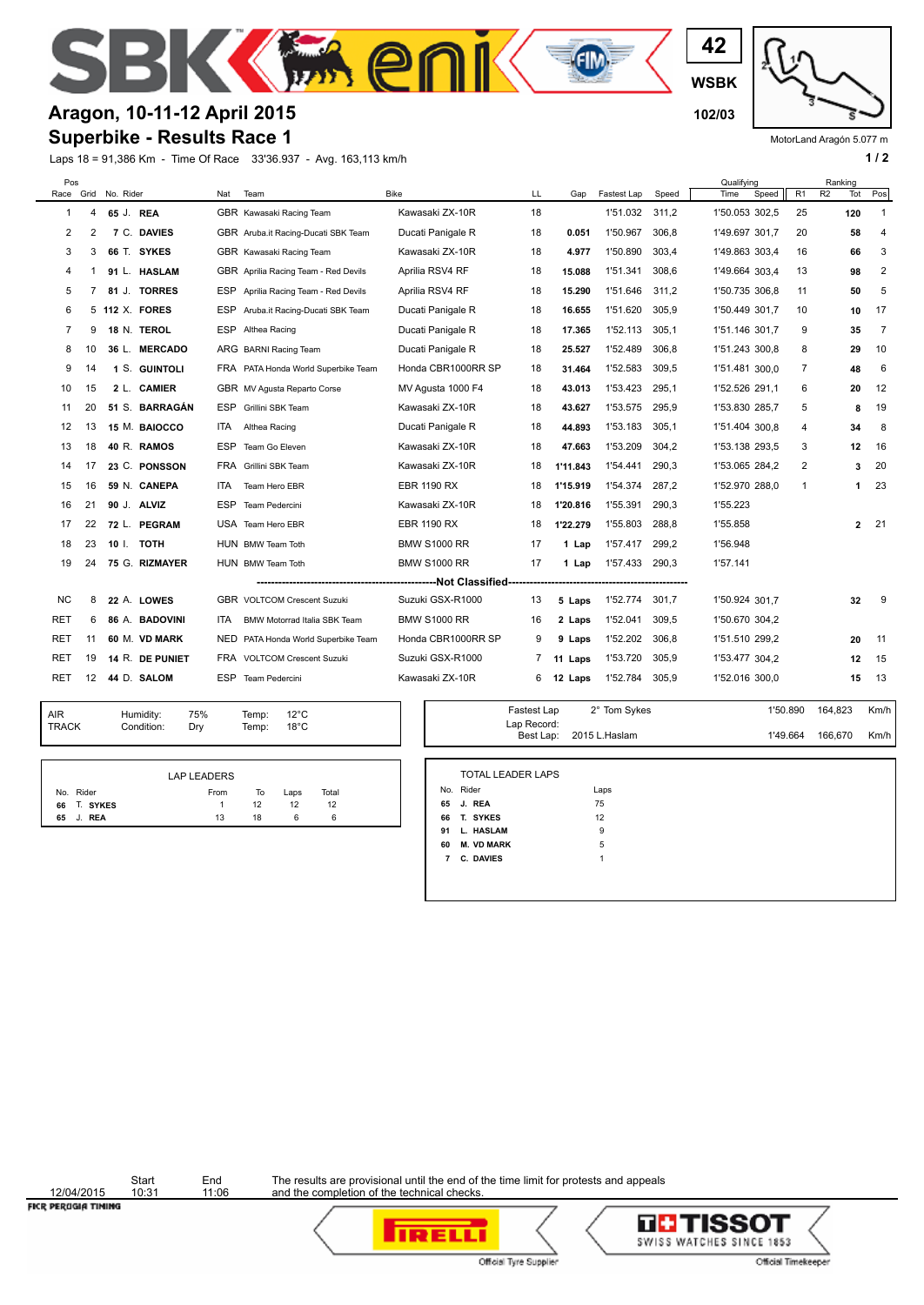

#### **Aragon, 10-11-12 April 2015 102/03**

#### **Superbike - Results Race 1**

Laps 18 = 91,386 Km - Time Of Race 33'36.937 - Avg. 163,113 km/h **1 and 2 1 and 2 1 a 1 a 1 a 1 a 1 a 1 a 1 a 1 a 1 a 1 a 1 a 1 a 1 a 1 a 1 a 1 a 1 a 1 a 1 a 1 a 1 a 1 a 1 a** 

**WSBK**

**42**

MotorLand Aragón 5.077 m

| Pos<br>Race    | Grid | No. Rider           | Nat        | Team                                 | <b>Bike</b>         | LL                       | Gap      | Fastest Lap    | Speed | Qualifying<br>Speed<br>R <sub>1</sub><br>Time | Ranking<br>R <sub>2</sub><br>Tot | Pos            |
|----------------|------|---------------------|------------|--------------------------------------|---------------------|--------------------------|----------|----------------|-------|-----------------------------------------------|----------------------------------|----------------|
| -1             | 4    | 65 J. REA           |            | GBR Kawasaki Racing Team             | Kawasaki ZX-10R     | 18                       |          | 1'51.032       | 311.2 | 1'50.053 302.5<br>25                          | 120                              | $\mathbf{1}$   |
| 2              | 2    | 7 C. DAVIES         |            | GBR Aruba.it Racing-Ducati SBK Team  | Ducati Panigale R   | 18                       | 0.051    | 1'50.967       | 306,8 | 1'49.697 301,7<br>20                          | 58                               | $\overline{4}$ |
| 3              | 3    | 66 T. SYKES         |            | GBR Kawasaki Racing Team             | Kawasaki ZX-10R     | 18                       | 4.977    | 1'50.890       | 303.4 | 1'49.863 303,4<br>16                          | 66                               | 3              |
| 4              | 1    | 91 L. HASLAM        |            | GBR Aprilia Racing Team - Red Devils | Aprilia RSV4 RF     | 18                       | 15.088   | 1'51.341       | 308,6 | 13<br>1'49.664 303.4                          | 98                               | $\overline{2}$ |
| 5              |      | 81 J. TORRES        |            | ESP Aprilia Racing Team - Red Devils | Aprilia RSV4 RF     | 18                       | 15.290   | 1'51.646       | 311.2 | 1'50.735 306,8<br>11                          | 50                               | 5              |
| 6              | 5.   | <b>112 X. FORES</b> |            | ESP Aruba.it Racing-Ducati SBK Team  | Ducati Panigale R   | 18                       | 16.655   | 1'51.620       | 305,9 | 1'50.449 301.7<br>10                          | 10                               | 17             |
| $\overline{7}$ | 9    | 18 N. TEROL         |            | ESP Althea Racing                    | Ducati Panigale R   | 18                       | 17.365   | 1'52.113       | 305,1 | 1'51.146 301,7<br>9                           | 35                               | $\overline{7}$ |
| 8              | 10   | 36 L. MERCADO       |            | ARG BARNI Racing Team                | Ducati Panigale R   | 18                       | 25.527   | 1'52.489       | 306.8 | 8<br>1'51.243 300.8                           | 29                               | 10             |
| 9              | 14   | 1 S. GUINTOLI       |            | FRA PATA Honda World Superbike Team  | Honda CBR1000RR SP  | 18                       | 31.464   | 1'52.583       | 309.5 | 1'51.481 300,0<br>7                           | 48                               | 6              |
| 10             | 15   | 2 L. CAMIER         |            | GBR MV Agusta Reparto Corse          | MV Agusta 1000 F4   | 18                       | 43.013   | 1'53.423       | 295,1 | 1'52.526 291.1<br>6                           | 20                               | 12             |
| 11             | 20   | 51 S. BARRAGÁN      |            | ESP Grillini SBK Team                | Kawasaki ZX-10R     | 18                       | 43.627   | 1'53.575       | 295.9 | 1'53.830 285,7<br>5                           | 8                                | 19             |
| 12             | 13   | 15 M. BAIOCCO       | ITA.       | Althea Racing                        | Ducati Panigale R   | 18                       | 44.893   | 1'53.183       | 305,1 | 1'51.404 300.8<br>4                           | 34                               | 8              |
| 13             | 18   | 40 R. RAMOS         | ESP        | Team Go Eleven                       | Kawasaki ZX-10R     | 18                       | 47.663   | 1'53.209       | 304,2 | 1'53.138 293,5<br>3                           | 12                               | 16             |
| 14             | 17   | 23 C. PONSSON       |            | FRA Grillini SBK Team                | Kawasaki ZX-10R     | 18                       | 1'11.843 | 1'54.441       | 290.3 | 2<br>1'53.065 284,2                           | 3                                | 20             |
| 15             | 16   | 59 N. CANEPA        | <b>ITA</b> | Team Hero EBR                        | <b>EBR 1190 RX</b>  | 18                       | 1'15.919 | 1'54.374       | 287.2 | 1'52.970 288.0<br>1                           |                                  | 23<br>1        |
| 16             | 21   | 90 J. ALVIZ         | <b>ESP</b> | Team Pedercini                       | Kawasaki ZX-10R     | 18                       | 1'20.816 | 1'55.391       | 290,3 | 1'55.223                                      |                                  |                |
| 17             | 22   | 72 L. PEGRAM        |            | USA Team Hero EBR                    | EBR 1190 RX         | 18                       | 1'22.279 | 1'55.803       | 288,8 | 1'55.858                                      |                                  | 21<br>2        |
| 18             | 23   | 10 I. TOTH          |            | HUN BMW Team Toth                    | <b>BMW S1000 RR</b> | 17                       | 1 Lap    | 1'57.417       | 299.2 | 1'56.948                                      |                                  |                |
| 19             | 24   | 75 G. RIZMAYER      |            | HUN BMW Team Toth                    | <b>BMW S1000 RR</b> | 17                       | 1 Lap    | 1'57.433 290,3 |       | 1'57.141                                      |                                  |                |
|                |      |                     |            |                                      |                     |                          |          |                |       |                                               |                                  |                |
| NC             | 8    | 22 A. LOWES         |            | <b>GBR VOLTCOM Crescent Suzuki</b>   | Suzuki GSX-R1000    | 13                       | 5 Laps   | 1'52.774       | 301,7 | 1'50.924 301.7                                | 32                               | - 9            |
| RET            | 6    | 86 A. BADOVINI      | ITA.       | <b>BMW Motorrad Italia SBK Team</b>  | <b>BMW S1000 RR</b> | 16                       | 2 Laps   | 1'52.041       | 309.5 | 1'50.670 304.2                                |                                  |                |
| <b>RET</b>     | 11   | 60 M. VD MARK       | NED        | PATA Honda World Superbike Team      | Honda CBR1000RR SP  | 9                        | 9 Laps   | 1'52.202       | 306,8 | 1'51.510 299.2                                | 20                               | -11            |
| RET            | 19   | 14 R. DE PUNIET     |            | FRA VOLTCOM Crescent Suzuki          | Suzuki GSX-R1000    | 7                        | 11 Laps  | 1'53.720       | 305,9 | 1'53.477 304,2                                | 12                               | 15             |
| <b>RET</b>     | 12   | 44 D. SALOM         | ESP        | Team Pedercini                       | Kawasaki ZX-10R     | 6                        | 12 Laps  | 1'52.784       | 305,9 | 1'52.016 300,0                                | 15                               | -13            |
| <b>AIR</b>     |      | Humidity:<br>75%    |            | $12^{\circ}$ C<br>Temp:              |                     | Fastest Lap              |          | 2° Tom Sykes   |       | 1'50.890                                      | 164,823                          | Km/h           |
| <b>TRACK</b>   |      | Condition:<br>Dry   |            | $18^{\circ}$ C<br>Temp:              |                     | Lap Record:<br>Best Lap: |          | 2015 L.Haslam  |       | 1'49.664                                      | 166.670                          | Km/h           |

|              | <b>LAP LEADERS</b> |    |      |       |
|--------------|--------------------|----|------|-------|
| No. Rider    | From               | To | Laps | Total |
| 66 T. SYKES  |                    | 12 | 12   | 12    |
| J. REA<br>65 | 13                 | 18 | 6    | 6     |

|                | <b>TOTAL LEADER LAPS</b> |      |  |
|----------------|--------------------------|------|--|
|                | No. Rider                | Laps |  |
|                | 65 J. REA                | 75   |  |
| 66             | T. SYKES                 | 12   |  |
| 91             | L. HASLAM                | 9    |  |
| 60             | <b>M. VD MARK</b>        | 5    |  |
| $\overline{7}$ | C. DAVIES                | ٠    |  |

12/04/2015<br>FICR PEROGIA TIMING

Start End<br>10:31 11:06





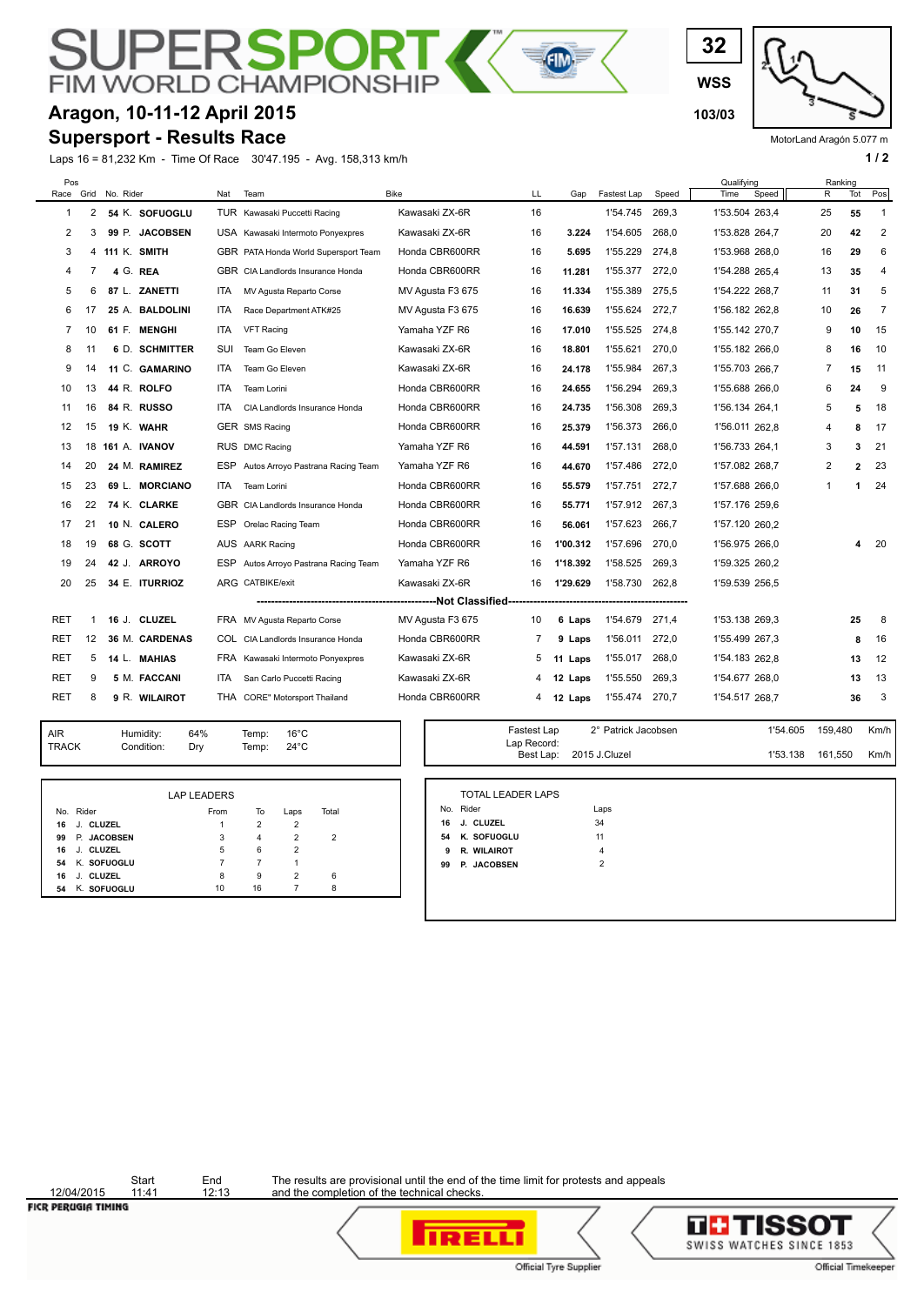#### PЕ **RSP FIM WORLD CHAMPION**

### **Aragon, 10-11-12 April 2015 103/03**

#### **Supersport - Results Race**

Laps 16 = 81,232 Km - Time Of Race 30'47.195 - Avg. 158,313 km/h **1 and 2 1 and 2 1 a 1 a 1 a 1 a 1 a 1 a 1 a 1 a 1 a 1 a 1 a 1 a 1 a 1 a 1 a 1 a 1 a 1 a 1 a 1 a 1 a 1 a 1 a** 

**WSS 32**

MotorLand Aragón 5.077 m

| Pos<br>Race Grid |                | No. Rider |                 | Nat        | Team                                  | <b>Bike</b>      | LL | Gap      | Fastest Lap | Speed | Qualifying<br>Speed<br>Time | R  | Ranking<br>Tot | Pos            |
|------------------|----------------|-----------|-----------------|------------|---------------------------------------|------------------|----|----------|-------------|-------|-----------------------------|----|----------------|----------------|
| 1                | $\overline{2}$ |           | 54 K. SOFUOGLU  |            | TUR Kawasaki Puccetti Racing          | Kawasaki ZX-6R   | 16 |          | 1'54.745    | 269.3 | 1'53.504 263.4              | 25 | 55             | 1              |
| 2                | 3              |           | 99 P. JACOBSEN  |            | USA Kawasaki Intermoto Ponyexpres     | Kawasaki ZX-6R   | 16 | 3.224    | 1'54.605    | 268,0 | 1'53.828 264,7              | 20 | 42             | 2              |
| 3                | 4              |           | 111 K. SMITH    |            | GBR PATA Honda World Supersport Team  | Honda CBR600RR   | 16 | 5.695    | 1'55.229    | 274.8 | 1'53.968 268,0              | 16 | 29             | 6              |
| $\overline{4}$   | 7              |           | 4 G. REA        |            | GBR CIA Landlords Insurance Honda     | Honda CBR600RR   | 16 | 11.281   | 1'55.377    | 272.0 | 1'54.288 265.4              | 13 | 35             | 4              |
| 5                | 6              |           | 87 L. ZANETTI   | ITA        | MV Agusta Reparto Corse               | MV Agusta F3 675 | 16 | 11.334   | 1'55.389    | 275,5 | 1'54.222 268,7              | 11 | 31             | 5              |
| 6                | 17             |           | 25 A. BALDOLINI | ITA        | Race Department ATK#25                | MV Agusta F3 675 | 16 | 16.639   | 1'55.624    | 272,7 | 1'56.182 262,8              | 10 | 26             | $\overline{7}$ |
| 7                | 10             |           | 61 F. MENGHI    | ITA.       | <b>VFT Racing</b>                     | Yamaha YZF R6    | 16 | 17.010   | 1'55.525    | 274.8 | 1'55.142 270,7              | 9  | 10             | 15             |
| 8                | 11             |           | 6 D. SCHMITTER  | <b>SUI</b> | Team Go Eleven                        | Kawasaki ZX-6R   | 16 | 18.801   | 1'55.621    | 270,0 | 1'55.182 266.0              | 8  | 16             | 10             |
| 9                | 14             |           | 11 C. GAMARINO  | ITA.       | Team Go Eleven                        | Kawasaki ZX-6R   | 16 | 24.178   | 1'55.984    | 267,3 | 1'55.703 266,7              | 7  | 15             | 11             |
| 10               | 13             |           | 44 R. ROLFO     | ITA.       | Team Lorini                           | Honda CBR600RR   | 16 | 24.655   | 1'56.294    | 269,3 | 1'55.688 266.0              | 6  | 24             | 9              |
| 11               | 16             |           | 84 R. RUSSO     | ITA.       | CIA Landlords Insurance Honda         | Honda CBR600RR   | 16 | 24.735   | 1'56.308    | 269.3 | 1'56.134 264.1              | 5  | 5              | 18             |
| 12               | 15             |           | 19 K. WAHR      |            | GER SMS Racing                        | Honda CBR600RR   | 16 | 25.379   | 1'56.373    | 266,0 | 1'56.011 262.8              | 4  | 8              | 17             |
| 13               | 18             |           | 161 A. IVANOV   |            | RUS DMC Racing                        | Yamaha YZF R6    | 16 | 44.591   | 1'57.131    | 268,0 | 1'56.733 264,1              | 3  | 3              | 21             |
| 14               | 20             |           | 24 M. RAMIREZ   | ESP        | Autos Arroyo Pastrana Racing Team     | Yamaha YZF R6    | 16 | 44.670   | 1'57.486    | 272.0 | 1'57.082 268,7              | 2  | $\overline{2}$ | 23             |
| 15               | 23             |           | 69 L. MORCIANO  | ITA        | Team Lorini                           | Honda CBR600RR   | 16 | 55.579   | 1'57.751    | 272.7 | 1'57.688 266.0              | 1  | 1              | 24             |
| 16               | 22             |           | 74 K. CLARKE    |            | GBR CIA Landlords Insurance Honda     | Honda CBR600RR   | 16 | 55.771   | 1'57.912    | 267,3 | 1'57.176 259,6              |    |                |                |
| 17               | 21             |           | 10 N. CALERO    | ESP        | Orelac Racing Team                    | Honda CBR600RR   | 16 | 56.061   | 1'57.623    | 266.7 | 1'57.120 260,2              |    |                |                |
| 18               | 19             |           | 68 G. SCOTT     |            | AUS AARK Racing                       | Honda CBR600RR   | 16 | 1'00.312 | 1'57.696    | 270.0 | 1'56.975 266,0              |    | 4              | 20             |
| 19               | 24             |           | 42 J. ARROYO    |            | ESP Autos Arroyo Pastrana Racing Team | Yamaha YZF R6    | 16 | 1'18.392 | 1'58.525    | 269,3 | 1'59.325 260.2              |    |                |                |
| 20               | 25             |           | 34 E. ITURRIOZ  |            | ARG CATBIKE/exit                      | Kawasaki ZX-6R   | 16 | 1'29.629 | 1'58.730    | 262.8 | 1'59.539 256,5              |    |                |                |
|                  |                |           |                 |            |                                       |                  |    |          |             |       |                             |    |                |                |
| <b>RET</b>       | -1             |           | 16 J. CLUZEL    |            | FRA MV Agusta Reparto Corse           | MV Agusta F3 675 | 10 | 6 Laps   | 1'54.679    | 271,4 | 1'53.138 269,3              |    | 25             | - 8            |
| RET              | 12             |           | 36 M. CARDENAS  |            | COL CIA Landlords Insurance Honda     | Honda CBR600RR   | 7  | 9 Laps   | 1'56.011    | 272,0 | 1'55.499 267.3              |    | 8              | 16             |
| RET              | 5              |           | 14 L. MAHIAS    |            | FRA Kawasaki Intermoto Ponyexpres     | Kawasaki ZX-6R   | 5  | 11 Laps  | 1'55.017    | 268.0 | 1'54.183 262,8              |    | 13             | 12             |
| RET              | 9              |           | 5 M. FACCANI    | ITA.       | San Carlo Puccetti Racing             | Kawasaki ZX-6R   | 4  | 12 Laps  | 1'55.550    | 269,3 | 1'54.677 268.0              |    | 13             | 13             |
| RET              | 8              |           | 9 R. WILAIROT   |            | THA CORE" Motorsport Thailand         | Honda CBR600RR   | 4  | 12 Laps  | 1'55.474    | 270,7 | 1'54.517 268,7              |    | 36             | 3              |

E

TRACK Condition: Dry AIR Humidity:<br>TRACK Condition

64% 16°C Temp: 24°C Temp:

|                 | <b>LAP LEADERS</b> |                |                |                |  |
|-----------------|--------------------|----------------|----------------|----------------|--|
| No. Rider       | From               | To             | Laps           | Total          |  |
| J. CLUZEL<br>16 | 1                  | $\overline{2}$ | $\overline{2}$ |                |  |
| 99 P. JACOBSEN  | 3                  | 4              | $\overline{2}$ | $\overline{2}$ |  |
| 16 J. CLUZEL    | 5                  | 6              | $\overline{2}$ |                |  |
| 54 K. SOFUOGLU  | 7                  | 7              | 1              |                |  |
| 16 J. CLUZEL    | 8                  | 9              | $\overline{2}$ | 6              |  |
| 54 K. SOFUOGLU  | 10                 | 16             | 7              | 8              |  |
|                 |                    |                |                |                |  |

| Fastest Lap | 2° Patrick Jacobsen     | 1'54.605 159.480 |         | Km/h |
|-------------|-------------------------|------------------|---------|------|
| Lap Record: |                         |                  |         |      |
|             | Best Lap: 2015 J.Cluzel | 1'53.138         | 161.550 | Km/h |

|    | No. Rider          | Laps           |  |
|----|--------------------|----------------|--|
|    | 16 J. CLUZEL       | 34             |  |
|    | 54 K. SOFUOGLU     | 11             |  |
| 9  | R. WILAIROT        | $\overline{4}$ |  |
| 99 | <b>P. JACOBSEN</b> | $\overline{2}$ |  |

12/04/2015<br>FICR PERUGIA TIMING

Start End<br>11:41 12:13



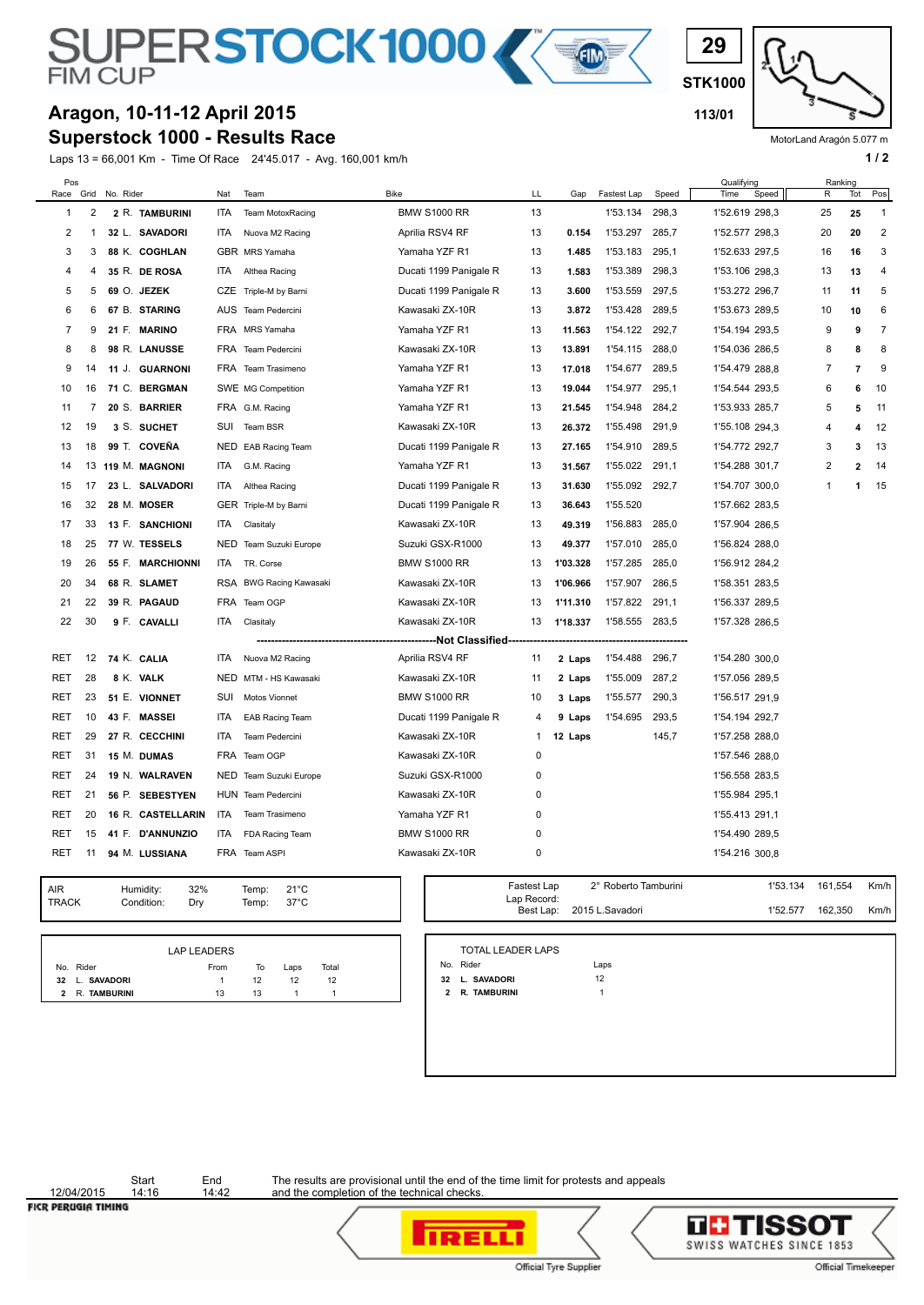

#### **Superstock 1000 - Results Race Aragon, 10-11-12 April 2015 113/01**

Laps 13 = 66,001 Km - Time Of Race 24'45.017 - Avg. 160,001 km/h **1 and 2** 1 **1 and 2** 1 **1 a 1 / 2** 

**STK1000 29**

MotorLand Aragón 5.077 m

| Pos            |                         |                   |            |                         |                        |                |          |                      |       | Qualifying     | Ranking        |                  |              |
|----------------|-------------------------|-------------------|------------|-------------------------|------------------------|----------------|----------|----------------------|-------|----------------|----------------|------------------|--------------|
| Race           | Grid                    | No. Rider         | Nat        | Team                    | <b>Bike</b>            | LL             | Gap      | Fastest Lap          | Speed | Time<br>Speed  | R              | Tot              | Pos          |
| $\mathbf{1}$   | $\overline{\mathbf{c}}$ | 2 R. TAMBURINI    | ITA        | Team MotoxRacing        | <b>BMW S1000 RR</b>    | 13             |          | 1'53.134             | 298,3 | 1'52.619 298,3 | 25             | 25               | $\mathbf{1}$ |
| 2              | 1                       | 32 L. SAVADORI    | ITA.       | Nuova M2 Racing         | Aprilia RSV4 RF        | 13             | 0.154    | 1'53.297             | 285,7 | 1'52.577 298,3 | 20             | 20               | 2            |
| 3              | 3                       | 88 K. COGHLAN     |            | GBR MRS Yamaha          | Yamaha YZF R1          | 13             | 1.485    | 1'53.183             | 295,1 | 1'52.633 297,5 | 16             | 16               | 3            |
| 4              | 4                       | 35 R. DE ROSA     | ITA        | Althea Racing           | Ducati 1199 Panigale R | 13             | 1.583    | 1'53.389             | 298,3 | 1'53.106 298,3 | 13             | 13               | 4            |
| 5              | 5                       | 69 O. JEZEK       |            | CZE Triple-M by Barni   | Ducati 1199 Panigale R | 13             | 3.600    | 1'53.559             | 297,5 | 1'53.272 296,7 | 11             | 11               | 5            |
| 6              | 6                       | 67 B. STARING     |            | AUS Team Pedercini      | Kawasaki ZX-10R        | 13             | 3.872    | 1'53.428             | 289,5 | 1'53.673 289,5 | 10             | 10               | 6            |
| $\overline{7}$ | 9                       | 21 F. MARINO      |            | FRA MRS Yamaha          | Yamaha YZF R1          | 13             | 11.563   | 1'54.122             | 292,7 | 1'54.194 293,5 | 9              | 9                | 7            |
| 8              | 8                       | 98 R. LANUSSE     |            | FRA Team Pedercini      | Kawasaki ZX-10R        | 13             | 13.891   | 1'54.115             | 288,0 | 1'54.036 286,5 | 8              | 8                | 8            |
| 9              | 14                      | 11 J. GUARNONI    |            | FRA Team Trasimeno      | Yamaha YZF R1          | 13             | 17.018   | 1'54.677             | 289,5 | 1'54.479 288,8 | 7              | $\overline{7}$   | 9            |
| 10             | 16                      | 71 C. BERGMAN     |            | SWE MG Competition      | Yamaha YZF R1          | 13             | 19.044   | 1'54.977             | 295,1 | 1'54.544 293,5 | 6              | 6                | 10           |
| 11             | 7                       | 20 S. BARRIER     |            | FRA G.M. Racing         | Yamaha YZF R1          | 13             | 21.545   | 1'54.948             | 284,2 | 1'53.933 285,7 | 5              | 5                | 11           |
| 12             | 19                      | 3 S. SUCHET       | <b>SUI</b> | Team BSR                | Kawasaki ZX-10R        | 13             | 26.372   | 1'55.498             | 291,9 | 1'55.108 294,3 | 4              | $\boldsymbol{A}$ | 12           |
| 13             | 18                      | 99 T. COVEÑA      |            | NED EAB Racing Team     | Ducati 1199 Panigale R | 13             | 27.165   | 1'54.910             | 289,5 | 1'54.772 292,7 | 3              | 3                | 13           |
| 14             | 13                      | 119 M. MAGNONI    | ITA        | G.M. Racing             | Yamaha YZF R1          | 13             | 31.567   | 1'55.022             | 291,1 | 1'54.288 301,7 | $\overline{2}$ | $\overline{2}$   | 14           |
| 15             | 17                      | 23 L. SALVADORI   | ITA        | Althea Racing           | Ducati 1199 Panigale R | 13             | 31.630   | 1'55.092             | 292,7 | 1'54.707 300,0 | 1              | $\mathbf 1$      | 15           |
| 16             | 32                      | 28 M. MOSER       |            | GER Triple-M by Barni   | Ducati 1199 Panigale R | 13             | 36.643   | 1'55.520             |       | 1'57.662 283,5 |                |                  |              |
| 17             | 33                      | 13 F. SANCHIONI   | ITA.       | Clasitaly               | Kawasaki ZX-10R        | 13             | 49.319   | 1'56.883             | 285.0 | 1'57.904 286,5 |                |                  |              |
| 18             | 25                      | 77 W. TESSELS     | NED        | Team Suzuki Europe      | Suzuki GSX-R1000       | 13             | 49.377   | 1'57.010             | 285,0 | 1'56.824 288,0 |                |                  |              |
| 19             | 26                      | 55 F. MARCHIONNI  | ITA.       | TR. Corse               | <b>BMW S1000 RR</b>    | 13             | 1'03.328 | 1'57.285             | 285,0 | 1'56.912 284,2 |                |                  |              |
| 20             | 34                      | 68 R. SLAMET      |            | RSA BWG Racing Kawasaki | Kawasaki ZX-10R        | 13             | 1'06.966 | 1'57.907             | 286,5 | 1'58.351 283,5 |                |                  |              |
| 21             | 22                      | 39 R. PAGAUD      |            | FRA Team OGP            | Kawasaki ZX-10R        | 13             | 1'11.310 | 1'57.822             | 291,1 | 1'56.337 289,5 |                |                  |              |
| 22             | 30                      | 9 F. CAVALLI      | ITA        | Clasitaly               | Kawasaki ZX-10R        | 13             | 1'18.337 | 1'58.555 283,5       |       | 1'57.328 286,5 |                |                  |              |
|                |                         |                   |            |                         | ---Not Classified--    |                |          |                      |       |                |                |                  |              |
| <b>RET</b>     | 12                      | 74 K. CALIA       | ITA        | Nuova M2 Racing         | Aprilia RSV4 RF        | 11             | 2 Laps   | 1'54.488             | 296,7 | 1'54.280 300,0 |                |                  |              |
| RET            | 28                      | 8 K. VALK         |            | NED MTM - HS Kawasaki   | Kawasaki ZX-10R        | 11             | 2 Laps   | 1'55.009             | 287,2 | 1'57.056 289.5 |                |                  |              |
| RET            | 23                      | 51 E. VIONNET     | SUI        | Motos Vionnet           | <b>BMW S1000 RR</b>    | 10             | 3 Laps   | 1'55.577             | 290,3 | 1'56.517 291,9 |                |                  |              |
| RET            | 10                      | 43 F. MASSEI      | <b>ITA</b> | <b>EAB Racing Team</b>  | Ducati 1199 Panigale R | $\overline{4}$ | 9 Laps   | 1'54.695             | 293,5 | 1'54.194 292,7 |                |                  |              |
| <b>RET</b>     | 29                      | 27 R. CECCHINI    | <b>ITA</b> | Team Pedercini          | Kawasaki ZX-10R        | -1             | 12 Laps  |                      | 145,7 | 1'57.258 288,0 |                |                  |              |
| RET            | 31                      | 15 M. DUMAS       |            | FRA Team OGP            | Kawasaki ZX-10R        | $\mathbf 0$    |          |                      |       | 1'57.546 288,0 |                |                  |              |
| <b>RET</b>     | 24                      | 19 N. WALRAVEN    |            | NED Team Suzuki Europe  | Suzuki GSX-R1000       | $\mathbf 0$    |          |                      |       | 1'56.558 283,5 |                |                  |              |
| RET            | 21                      | 56 P. SEBESTYEN   |            | HUN Team Pedercini      | Kawasaki ZX-10R        | $\mathbf 0$    |          |                      |       | 1'55.984 295,1 |                |                  |              |
| <b>RET</b>     | 20                      | 16 R. CASTELLARIN | ITA        | Team Trasimeno          | Yamaha YZF R1          | $\mathbf 0$    |          |                      |       | 1'55.413 291,1 |                |                  |              |
| RET            | 15                      | 41 F. D'ANNUNZIO  | ITA        | FDA Racing Team         | <b>BMW S1000 RR</b>    | $\mathbf 0$    |          |                      |       | 1'54.490 289,5 |                |                  |              |
| <b>RET</b>     | 11                      | 94 M. LUSSIANA    |            | FRA Team ASPI           | Kawasaki ZX-10R        | $\mathbf 0$    |          |                      |       | 1'54.216 300,8 |                |                  |              |
|                |                         |                   |            |                         |                        |                |          |                      |       |                |                |                  |              |
| <b>AIR</b>     |                         | 32%<br>Humidity:  |            | $21^{\circ}$ C<br>Temp: |                        | Fastest Lap    |          | 2° Roberto Tamburini |       | 1'53.134       | 161,554        |                  | Km/h         |
| <b>TRACK</b>   |                         | Condition:<br>Drv |            | $37^{\circ}$ C<br>Temp: |                        | Lap Record:    |          |                      |       |                |                |                  |              |

|                | <b>LAP LEADERS</b> |    |      |       |  |
|----------------|--------------------|----|------|-------|--|
| No. Rider      | From               | To | Laps | Total |  |
| 32 L. SAVADORI |                    | 12 | 12   | 12    |  |
| 2 R. TAMBURINI | 13                 | 13 |      |       |  |

| Lap Record: |                           |          |         | Km/h I |
|-------------|---------------------------|----------|---------|--------|
|             | Best Lap: 2015 L.Savadori | 1'52.577 | 162.350 | Km/h   |
|             |                           |          |         |        |

| TOTAL LEADER LAPS |      |
|-------------------|------|
| No. Rider         | Laps |
| 32 L. SAVADORI    | 12   |
| 2 R. TAMBURINI    |      |

Start End<br>14:16 14:42 12/04/2015

The results are provisional until the end of the time limit for protests and appeals and the completion of the technical checks.

**FICR PERUGIA TIMING** 



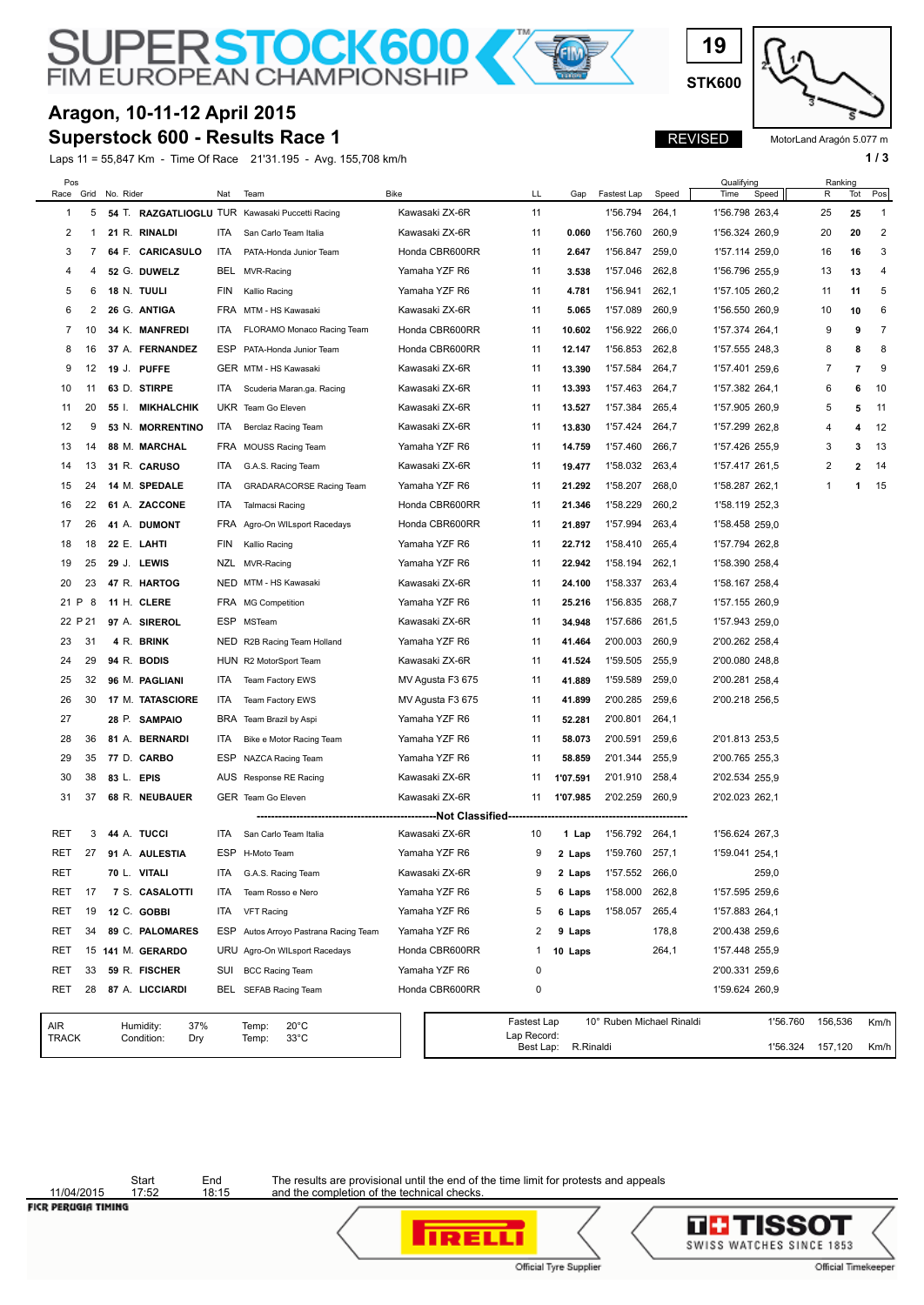**SUPERSTOCK600** 

#### **Superstock 600 - Results Race 1 Aragon, 10-11-12 April 2015**

Laps 11 = 55,847 Km - Time Of Race 21'31.195 - Avg. 155,708 km/h **1 / 3**

**STK600**

**19**

REVISED

MotorLand Aragón 5.077 m

| Pos<br>Race         | Grid    | No. Rider |                                       | Nat        | Team                                               | <b>Bike</b>                            | LL                 | Gap       | Fastest Lap    | Speed                     | Qualifying<br>Time<br>Speed | Ranking<br>R | Tot            | Pos                     |
|---------------------|---------|-----------|---------------------------------------|------------|----------------------------------------------------|----------------------------------------|--------------------|-----------|----------------|---------------------------|-----------------------------|--------------|----------------|-------------------------|
| 1                   | 5       |           |                                       |            | 54 T. RAZGATLIOGLU TUR Kawasaki Puccetti Racing    | Kawasaki ZX-6R                         | 11                 |           | 1'56.794       | 264,1                     | 1'56.798 263,4              | 25           | 25             | $\overline{1}$          |
| 2                   | -1      |           | 21 R. RINALDI                         | ITA        | San Carlo Team Italia                              | Kawasaki ZX-6R                         | 11                 | 0.060     | 1'56.760       | 260,9                     | 1'56.324 260,9              | 20           | 20             | $\overline{\mathbf{c}}$ |
| 3                   | 7       |           | 64 F. CARICASULO                      | ITA        | PATA-Honda Junior Team                             | Honda CBR600RR                         | 11                 | 2.647     | 1'56.847       | 259,0                     | 1'57.114 259,0              | 16           | 16             | 3                       |
| 4                   | 4       |           | 52 G. DUWELZ                          |            | BEL MVR-Racing                                     | Yamaha YZF R6                          | 11                 | 3.538     | 1'57.046       | 262,8                     | 1'56.796 255,9              | 13           | 13             | 4                       |
| 5                   | 6       |           | 18 N. TUULI                           | FIN        | Kallio Racing                                      | Yamaha YZF R6                          | 11                 | 4.781     | 1'56.941       | 262,1                     | 1'57.105 260,2              | 11           | 11             | 5                       |
| 6                   | 2       |           |                                       |            | FRA MTM - HS Kawasaki                              |                                        |                    |           |                | 260,9                     |                             |              |                | 6                       |
|                     |         |           | 26 G. ANTIGA                          |            |                                                    | Kawasaki ZX-6R                         | 11                 | 5.065     | 1'57.089       |                           | 1'56.550 260,9              | 10           | 10             |                         |
| 7                   | 10      |           | 34 K. MANFREDI                        | <b>ITA</b> | FLORAMO Monaco Racing Team                         | Honda CBR600RR                         | 11                 | 10.602    | 1'56.922       | 266,0                     | 1'57.374 264,1              | 9            | 9              | 7                       |
| 8                   | 16      |           | 37 A. FERNANDEZ                       | ESP        | PATA-Honda Junior Team                             | Honda CBR600RR                         | 11                 | 12.147    | 1'56.853       | 262,8                     | 1'57.555 248,3              | 8            | 8              | 8                       |
| 9                   | 12      |           | 19 J. PUFFE                           |            | GER MTM - HS Kawasaki                              | Kawasaki ZX-6R                         | 11                 | 13.390    | 1'57.584       | 264,7                     | 1'57.401 259,6              | 7            | 7              | 9                       |
| 10                  | 11      |           | 63 D. STIRPE                          | ITA        | Scuderia Maran.ga. Racing                          | Kawasaki ZX-6R                         | 11                 | 13.393    | 1'57.463       | 264,7                     | 1'57.382 264,1              | 6            | 6              | 10                      |
| 11                  | 20      | 55 I.     | MIKHALCHIK                            |            | UKR Team Go Eleven                                 | Kawasaki ZX-6R                         | 11                 | 13.527    | 1'57.384       | 265,4                     | 1'57.905 260,9              | 5            | 5              | 11                      |
| 12                  | 9       |           | 53 N. MORRENTINO                      | ITA        | Berclaz Racing Team                                | Kawasaki ZX-6R                         | 11                 | 13.830    | 1'57.424       | 264,7                     | 1'57.299 262,8              | 4            | 4              | 12                      |
| 13                  | 14      |           | 88 M. MARCHAL                         |            | FRA MOUSS Racing Team                              | Yamaha YZF R6                          | 11                 | 14.759    | 1'57.460       | 266,7                     | 1'57.426 255,9              | 3            | 3              | 13                      |
| 14                  | 13      |           | 31 R. CARUSO                          | ITA.       | G.A.S. Racing Team                                 | Kawasaki ZX-6R                         | 11                 | 19.477    | 1'58.032       | 263,4                     | 1'57.417 261,5              | 2            | $\overline{2}$ | 14                      |
| 15                  | 24      |           | 14 M. SPEDALE                         | ITA        | <b>GRADARACORSE Racing Team</b>                    | Yamaha YZF R6                          | 11                 | 21.292    | 1'58.207       | 268,0                     | 1'58.287 262,1              | 1            | 1              | 15                      |
| 16                  | 22      |           | 61 A. ZACCONE                         | ITA        | <b>Talmacsi Racing</b>                             | Honda CBR600RR                         | 11                 | 21.346    | 1'58.229       | 260,2                     | 1'58.119 252,3              |              |                |                         |
| 17                  | 26      |           | 41 A. DUMONT                          |            | FRA Agro-On WILsport Racedays                      | Honda CBR600RR                         | 11                 | 21.897    | 1'57.994       | 263,4                     | 1'58.458 259.0              |              |                |                         |
| 18                  | 18      |           | 22 E. LAHTI                           | <b>FIN</b> | Kallio Racing                                      | Yamaha YZF R6                          | 11                 | 22.712    | 1'58.410       | 265,4                     | 1'57.794 262,8              |              |                |                         |
| 19                  | 25      |           | 29 J. LEWIS                           |            | NZL MVR-Racing                                     | Yamaha YZF R6                          | 11                 | 22.942    | 1'58.194       | 262,1                     | 1'58.390 258,4              |              |                |                         |
| 20                  | 23      |           | 47 R. HARTOG                          |            | NED MTM - HS Kawasaki                              | Kawasaki ZX-6R                         | 11                 | 24.100    | 1'58.337       | 263,4                     | 1'58.167 258,4              |              |                |                         |
| 21 P                | 8       |           | 11 H. CLERE                           |            | FRA MG Competition                                 | Yamaha YZF R6                          | 11                 | 25.216    | 1'56.835       | 268,7                     | 1'57.155 260,9              |              |                |                         |
|                     | 22 P 21 |           | 97 A. SIREROL                         | ESP        | MSTeam                                             | Kawasaki ZX-6R                         | 11                 | 34.948    | 1'57.686       | 261,5                     | 1'57.943 259,0              |              |                |                         |
| 23                  | 31      |           | 4 R. BRINK                            |            | NED R2B Racing Team Holland                        | Yamaha YZF R6                          | 11                 | 41.464    | 2'00.003       | 260,9                     | 2'00.262 258,4              |              |                |                         |
| 24                  | 29      |           | 94 R. BODIS                           |            | HUN R2 MotorSport Team                             | Kawasaki ZX-6R                         | 11                 | 41.524    | 1'59.505       | 255,9                     | 2'00.080 248,8              |              |                |                         |
| 25                  | 32      |           | 96 M. PAGLIANI                        | ITA        | Team Factory EWS                                   | MV Agusta F3 675                       | 11                 | 41.889    | 1'59.589       | 259,0                     | 2'00.281 258,4              |              |                |                         |
| 26                  | 30      |           | <b>17 M. TATASCIORE</b>               | ITA        | Team Factory EWS                                   | MV Agusta F3 675                       | 11                 | 41.899    | 2'00.285       | 259,6                     | 2'00.218 256,5              |              |                |                         |
| 27                  |         |           | 28 P. SAMPAIO                         | BRA        | Team Brazil by Aspi                                | Yamaha YZF R6                          | 11                 | 52.281    | 2'00.801       | 264,1                     |                             |              |                |                         |
| 28                  | 36      |           | 81 A. BERNARDI                        | ITA        | Bike e Motor Racing Team                           | Yamaha YZF R6                          | 11                 | 58.073    | 2'00.591       | 259,6                     | 2'01.813 253,5              |              |                |                         |
| 29                  | 35      |           | 77 D. CARBO                           | ESP        | NAZCA Racing Team                                  | Yamaha YZF R6                          | 11                 | 58.859    | 2'01.344       | 255,9                     | 2'00.765 255,3              |              |                |                         |
| 30                  | 38      |           | 83 L. EPIS                            | <b>AUS</b> | Response RE Racing                                 | Kawasaki ZX-6R                         | 11                 | 1'07.591  | 2'01.910       | 258,4                     | 2'02.534 255,9              |              |                |                         |
| 31                  | 37      |           | 68 R. NEUBAUER                        |            | GER Team Go Eleven                                 | Kawasaki ZX-6R                         | 11                 | 1'07.985  | 2'02.259       | 260,9                     | 2'02.023 262,1              |              |                |                         |
|                     |         |           |                                       |            |                                                    | ------------Not Classified------------ |                    |           |                |                           |                             |              |                |                         |
| RET                 | 3       |           | 44 A. TUCCI                           | ITA.       | San Carlo Team Italia                              | Kawasaki ZX-6R                         | 10                 | 1 Lap     | 1'56.792       | 264,1                     | 1'56.624 267,3              |              |                |                         |
| RET                 |         |           | 27 91 A. AULESTIA                     |            | ESP H-Moto Team                                    | Yamaha YZF R6                          | 9                  | 2 Laps    | 1'59.760       | 257,1                     | 1'59.041 254,1              |              |                |                         |
| RET                 |         |           |                                       | ITA        | G.A.S. Racing Team                                 | Kawasaki ZX-6R                         | 9                  |           | 1'57.552 266,0 |                           | 259,0                       |              |                |                         |
|                     |         |           | 70 L. VITALI                          |            |                                                    |                                        |                    | 2 Laps    |                |                           |                             |              |                |                         |
| RET                 | 17      |           | 7 S. CASALOTTI                        | ITA.       | Team Rosso e Nero                                  | Yamaha YZF R6                          | 5                  | 6 Laps    | 1'58.000 262,8 |                           | 1'57.595 259,6              |              |                |                         |
| RET                 | 19      |           | 12 C. GOBBI                           | ITA        | <b>VFT Racing</b>                                  | Yamaha YZF R6                          | 5                  | 6 Laps    | 1'58.057       | 265,4                     | 1'57.883 264,1              |              |                |                         |
| RET                 | 34      |           | 89 C. PALOMARES                       |            | ESP Autos Arroyo Pastrana Racing Team              | Yamaha YZF R6                          | 2                  | 9 Laps    |                | 178,8                     | 2'00.438 259,6              |              |                |                         |
| RET                 |         |           | 15 141 M. GERARDO                     |            | URU Agro-On WILsport Racedays                      | Honda CBR600RR                         | 1                  | 10 Laps   |                | 264,1                     | 1'57.448 255,9              |              |                |                         |
| RET                 | 33      |           | 59 R. FISCHER                         |            | SUI BCC Racing Team                                | Yamaha YZF R6                          | 0                  |           |                |                           | 2'00.331 259,6              |              |                |                         |
| RET                 | 28      |           | 87 A. LICCIARDI                       |            | BEL SEFAB Racing Team                              | Honda CBR600RR                         | 0                  |           |                |                           | 1'59.624 260,9              |              |                |                         |
|                     |         |           |                                       |            |                                                    |                                        | <b>Fastest Lap</b> |           |                | 10° Ruben Michael Rinaldi | 1'56.760                    | 156,536      |                | Km/h                    |
| AIR<br><b>TRACK</b> |         |           | 37%<br>Humidity:<br>Condition:<br>Dry |            | $20^{\circ}$ C<br>Temp:<br>$33^{\circ}$ C<br>Temp: |                                        | Lap Record:        |           |                |                           |                             |              |                |                         |
|                     |         |           |                                       |            |                                                    |                                        | Best Lap:          | R.Rinaldi |                |                           | 1'56.324                    | 157,120      |                | Km/h                    |

11/04/2015<br>FICR PERUGIA TIMING

Start End<br>17:52 18:15

The results are provisional until the end of the time limit for protests and appeals and the completion of the technical checks.

**IRELLI** Official Tyre Supplier

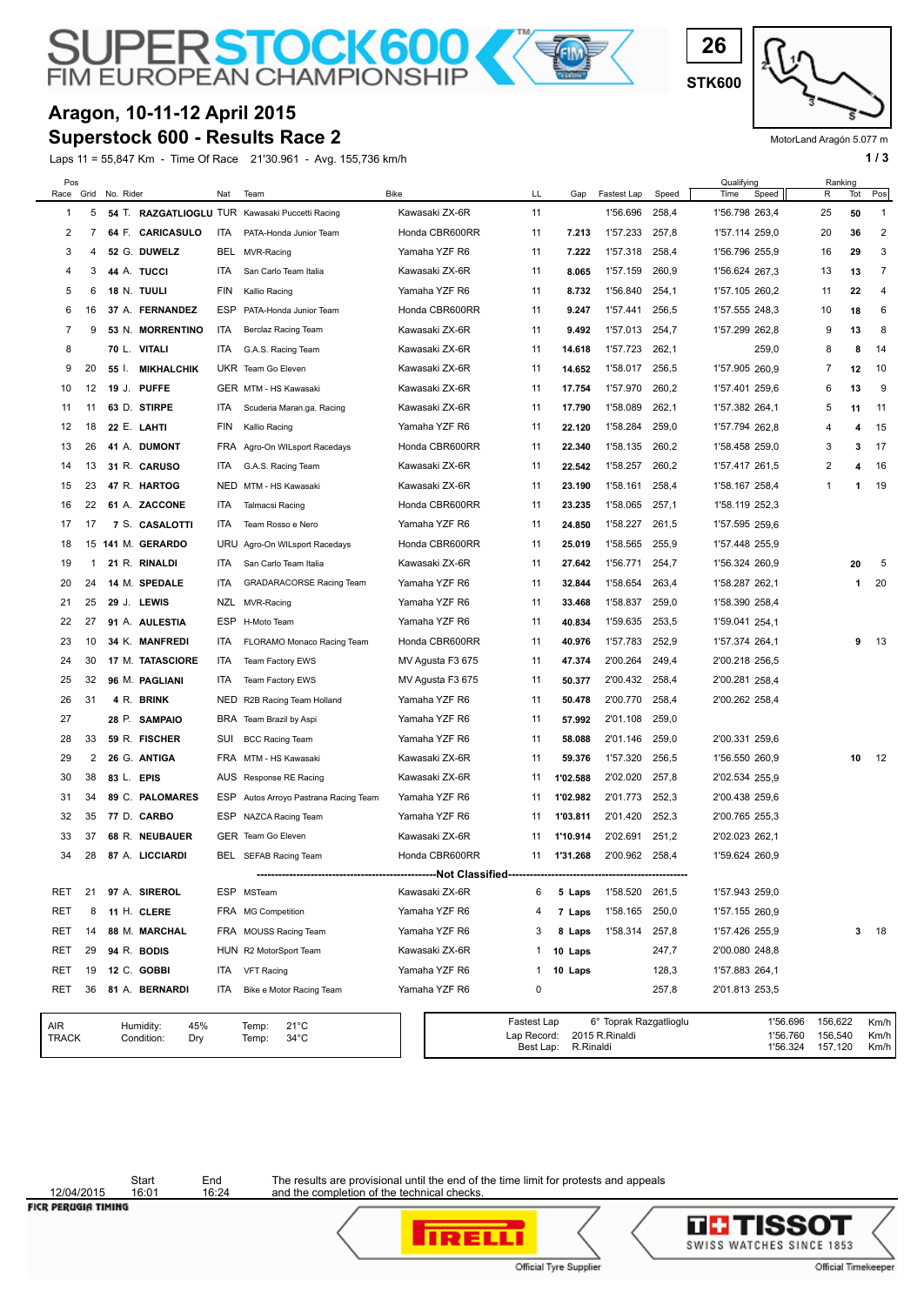**STK600**

**26**

#### MotorLand Aragón 5.077 m

# SUPER STOCK 600

#### **Superstock 600 - Results Race 2 Aragon, 10-11-12 April 2015**

Laps 11 = 55,847 Km - Time Of Race 21'30.961 - Avg. 155,736 km/h **1 and 2018** 1 **1 a 1 a 1 a 1 a 1 a 1 a 1 a 1 a 1 a 1 a 1 a 1 a 1 a 1 a 1 a 1 a 1 a 1 a 1 a 1 a 1 a 1 a 1 a 1 a** 

| Pos          |             |            |                                       |     |                                                    |                             | LL                                      |           |                                          |       | Qualifying<br>Time               | Ranking                       |     |                      |
|--------------|-------------|------------|---------------------------------------|-----|----------------------------------------------------|-----------------------------|-----------------------------------------|-----------|------------------------------------------|-------|----------------------------------|-------------------------------|-----|----------------------|
| Race<br>1    | Grid        | No. Rider  |                                       | Nat | Team                                               | Bike                        |                                         | Gap       | Fastest Lap                              | Speed | Speed                            | R                             | Tot | Pos                  |
|              | 5<br>7      |            |                                       |     | 54 T. RAZGATLIOGLU TUR Kawasaki Puccetti Racing    | Kawasaki ZX-6R              | 11                                      |           | 1'56.696<br>1'57.233                     | 258,4 | 1'56.798 263,4                   | 25                            | 50  | 1                    |
| 2            |             |            | 64 F. CARICASULO                      | ITA | PATA-Honda Junior Team                             | Honda CBR600RR              | 11                                      | 7.213     |                                          | 257,8 | 1'57.114 259,0                   | 20                            | 36  | 2                    |
| 3            | 4           |            | 52 G. DUWELZ                          | BEL | MVR-Racing                                         | Yamaha YZF R6               | 11                                      | 7.222     | 1'57.318                                 | 258,4 | 1'56.796 255,9                   | 16                            | 29  | 3                    |
| 4            | 3           |            | 44 A. TUCCI                           | ITA | San Carlo Team Italia                              | Kawasaki ZX-6R              | 11                                      | 8.065     | 1'57.159                                 | 260,9 | 1'56.624 267,3                   | 13                            | 13  | 7                    |
| 5            | 6           |            | <b>18 N. TUULI</b>                    | FIN | Kallio Racing                                      | Yamaha YZF R6               | 11                                      | 8.732     | 1'56.840                                 | 254,1 | 1'57.105 260,2                   | 11                            | 22  | 4                    |
| 6            | 16          |            | 37 A. FERNANDEZ                       | ESP | PATA-Honda Junior Team                             | Honda CBR600RR              | 11                                      | 9.247     | 1'57.441                                 | 256,5 | 1'57.555 248,3                   | 10                            | 18  | 6                    |
| 7            | 9           |            | 53 N. MORRENTINO                      | ITA | Berclaz Racing Team                                | Kawasaki ZX-6R              | 11                                      | 9.492     | 1'57.013                                 | 254,7 | 1'57.299 262,8                   | 9                             | 13  | 8                    |
| 8            |             | 70 L.      | VITALI                                | ITA | G.A.S. Racing Team                                 | Kawasaki ZX-6R              | 11                                      | 14.618    | 1'57.723                                 | 262,1 | 259,0                            | 8                             | 8   | 14                   |
| 9            | 20          | 55 I.      | <b>MIKHALCHIK</b>                     |     | UKR Team Go Eleven                                 | Kawasaki ZX-6R              | 11                                      | 14.652    | 1'58.017                                 | 256,5 | 1'57.905 260.9                   | 7                             | 12  | 10                   |
| 10           | 12          | 19 J.      | <b>PUFFE</b>                          |     | GER MTM - HS Kawasaki                              | Kawasaki ZX-6R              | 11                                      | 17.754    | 1'57.970                                 | 260,2 | 1'57.401 259.6                   | 6                             | 13  | 9                    |
| 11           | 11          |            | 63 D. STIRPE                          | ITA | Scuderia Maran.ga. Racing                          | Kawasaki ZX-6R              | 11                                      | 17.790    | 1'58.089                                 | 262,1 | 1'57.382 264,1                   | 5                             | 11  | 11                   |
| 12           | 18          |            | 22 E. LAHTI                           | FIN | Kallio Racing                                      | Yamaha YZF R6               | 11                                      | 22.120    | 1'58.284                                 | 259,0 | 1'57.794 262,8                   | 4                             | 4   | 15                   |
| 13           | 26          |            | 41 A. DUMONT                          | FRA | Agro-On WILsport Racedays                          | Honda CBR600RR              | 11                                      | 22.340    | 1'58.135                                 | 260,2 | 1'58.458 259,0                   | 3                             | 3   | 17                   |
| 14           | 13          |            | 31 R. CARUSO                          | ITA | G.A.S. Racing Team                                 | Kawasaki ZX-6R              | 11                                      | 22.542    | 1'58.257                                 | 260,2 | 1'57.417 261,5                   | 2                             | 4   | 16                   |
| 15           | 23          |            | 47 R. HARTOG                          | NED | MTM - HS Kawasaki                                  | Kawasaki ZX-6R              | 11                                      | 23.190    | 1'58.161                                 | 258,4 | 1'58.167 258,4                   | 1                             | -1  | 19                   |
| 16           | 22          |            | 61 A. ZACCONE                         | ITA | <b>Talmacsi Racing</b>                             | Honda CBR600RR              | 11                                      | 23.235    | 1'58.065                                 | 257,1 | 1'58.119 252,3                   |                               |     |                      |
| 17           | 17          |            | 7 S. CASALOTTI                        | ITA | Team Rosso e Nero                                  | Yamaha YZF R6               | 11                                      | 24.850    | 1'58.227                                 | 261,5 | 1'57.595 259.6                   |                               |     |                      |
| 18           | 15          |            | 141 M. GERARDO                        | URU | Agro-On WILsport Racedays                          | Honda CBR600RR              | 11                                      | 25.019    | 1'58.565                                 | 255,9 | 1'57.448 255,9                   |                               |     |                      |
| 19           | $\mathbf 1$ |            | 21 R. RINALDI                         | ITA | San Carlo Team Italia                              | Kawasaki ZX-6R              | 11                                      | 27.642    | 1'56.771                                 | 254,7 | 1'56.324 260,9                   |                               | 20  | 5                    |
| 20           | 24          |            | 14 M. SPEDALE                         | ITA | <b>GRADARACORSE Racing Team</b>                    | Yamaha YZF R6               | 11                                      | 32.844    | 1'58.654                                 | 263,4 | 1'58.287 262,1                   |                               | -1  | 20                   |
| 21           | 25          |            | 29 J. LEWIS                           | NZL | MVR-Racing                                         | Yamaha YZF R6               | 11                                      | 33.468    | 1'58.837                                 | 259,0 | 1'58.390 258,4                   |                               |     |                      |
| 22           | 27          |            | 91 A. AULESTIA                        | ESP | H-Moto Team                                        | Yamaha YZF R6               | 11                                      | 40.834    | 1'59.635                                 | 253,5 | 1'59.041 254,1                   |                               |     |                      |
| 23           | 10          |            | 34 K. MANFREDI                        | ITA | FLORAMO Monaco Racing Team                         | Honda CBR600RR              | 11                                      | 40.976    | 1'57.783                                 | 252,9 | 1'57.374 264,1                   |                               | 9   | 13                   |
| 24           | 30          |            | 17 M. TATASCIORE                      | ITA | Team Factory EWS                                   | MV Agusta F3 675            | 11                                      | 47.374    | 2'00.264                                 | 249,4 | 2'00.218 256,5                   |                               |     |                      |
| 25           | 32          |            | 96 M. PAGLIANI                        | ITA | Team Factory EWS                                   | MV Agusta F3 675            | 11                                      | 50.377    | 2'00.432                                 | 258,4 | 2'00.281 258,4                   |                               |     |                      |
| 26           | 31          |            | 4 R. BRINK                            | NED | R2B Racing Team Holland                            | Yamaha YZF R6               | 11                                      | 50.478    | 2'00.770                                 | 258,4 | 2'00.262 258,4                   |                               |     |                      |
| 27           |             |            | 28 P. SAMPAIO                         | BRA | Team Brazil by Aspi                                | Yamaha YZF R6               | 11                                      | 57.992    | 2'01.108                                 | 259,0 |                                  |                               |     |                      |
| 28           | 33          |            | 59 R. FISCHER                         | SUI | <b>BCC Racing Team</b>                             | Yamaha YZF R6               | 11                                      | 58.088    | 2'01.146                                 | 259,0 | 2'00.331 259,6                   |                               |     |                      |
| 29           | 2           |            | 26 G. ANTIGA                          | FRA | MTM - HS Kawasaki                                  | Kawasaki ZX-6R              | 11                                      | 59.376    | 1'57.320                                 | 256,5 | 1'56.550 260,9                   |                               | 10  | 12                   |
| 30           | 38          | 83 L. EPIS |                                       | AUS | Response RE Racing                                 | Kawasaki ZX-6R              | 11                                      | 1'02.588  | 2'02.020                                 | 257,8 | 2'02.534 255,9                   |                               |     |                      |
| 31           | 34          |            | 89 C. PALOMARES                       | ESP | Autos Arroyo Pastrana Racing Team                  | Yamaha YZF R6               | 11                                      | 1'02.982  | 2'01.773                                 | 252,3 | 2'00.438 259,6                   |                               |     |                      |
| 32           | 35          |            | 77 D. CARBO                           | ESP | NAZCA Racing Team                                  | Yamaha YZF R6               | 11                                      | 1'03.811  | 2'01.420                                 | 252,3 | 2'00.765 255,3                   |                               |     |                      |
| 33           | 37          |            | 68 R. NEUBAUER                        |     | GER Team Go Eleven                                 | Kawasaki ZX-6R              | 11                                      | 1'10.914  | 2'02.691                                 | 251,2 | 2'02.023 262,1                   |                               |     |                      |
| 34           | 28          |            | 87 A. LICCIARDI                       |     | BEL SEFAB Racing Team                              | Honda CBR600RR              | 11                                      | 1'31.268  | 2'00.962 258,4                           |       | 1'59.624 260,9                   |                               |     |                      |
|              |             |            |                                       |     |                                                    | -----------Not Classified-- |                                         |           |                                          |       |                                  |                               |     |                      |
| RET          | 21          |            | 97 A. SIREROL                         |     | ESP MSTeam                                         | Kawasaki ZX-6R              | 6                                       | 5 Laps    | 1'58.520                                 | 261,5 | 1'57.943 259,0                   |                               |     |                      |
| RET          | 8           |            | 11 H. CLERE                           |     | FRA MG Competition                                 | Yamaha YZF R6               | 4                                       | 7 Laps    | 1'58.165                                 | 250,0 | 1'57.155 260,9                   |                               |     |                      |
| RET          | 14          |            | 88 M. MARCHAL                         |     | FRA MOUSS Racing Team                              | Yamaha YZF R6               | 3                                       | 8 Laps    | 1'58.314                                 | 257,8 | 1'57.426 255,9                   |                               | 3   | 18                   |
| RET          | 29          |            | 94 R. BODIS                           |     | HUN R2 MotorSport Team                             | Kawasaki ZX-6R              | 1                                       | 10 Laps   |                                          | 247,7 | 2'00.080 248,8                   |                               |     |                      |
| RET          | 19          |            | 12 C. GOBBI                           | ITA | <b>VFT Racing</b>                                  | Yamaha YZF R6               | 1                                       | 10 Laps   |                                          | 128,3 | 1'57.883 264,1                   |                               |     |                      |
| RET          | 36          |            | 81 A. BERNARDI                        | ITA | Bike e Motor Racing Team                           | Yamaha YZF R6               | 0                                       |           |                                          | 257,8 | 2'01.813 253,5                   |                               |     |                      |
|              |             |            |                                       |     |                                                    |                             |                                         |           |                                          |       |                                  |                               |     |                      |
| AIR<br>TRACK |             |            | Humidity:<br>45%<br>Condition:<br>Dry |     | $21^{\circ}$ C<br>Temp:<br>$34^{\circ}$ C<br>Temp: |                             | Fastest Lap<br>Lap Record:<br>Best Lap: | R.Rinaldi | 6° Toprak Razgatlioglu<br>2015 R.Rinaldi |       | 1'56.696<br>1'56.760<br>1'56.324 | 156,622<br>156,540<br>157,120 |     | Km/h<br>Km/h<br>Km/h |

## 12/04/2015<br>FICR PERUGIA TIMING

Start End<br>16:01 16:24

The results are provisional until the end of the time limit for protests and appeals and the completion of the technical checks.

**IRELLI** 



Official Tyre Supplier